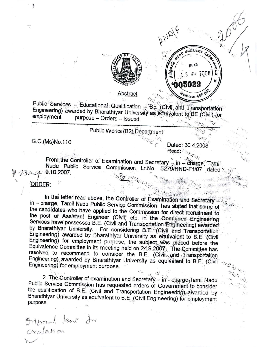

<u>Abstract</u>

Public Services - Educational Qualification - BE (Civil and Transportation Engineering) awarded by Bharathiyar University as equivalent to BE (Civil) for employment purpose - Orders - Issued.

## Public Works (B2) Department

G.O.(Ms)No.110

Dated: 30.4.2008 Read:

 $k_{\rm G}$   $\gamma_{\rm Si}$ 

AND/F

Ø,

தபால்

 $-603 - 600$ 

 $15$ 

n05029

*Cw* 2008

From the Controller of Examination and Secretary - in - charge, Tamil Nadu Public Service Commission Lr.No. 5279/RND-F1/07 dated 9.10.2007.

## ORDER:

In the letter read above, the Controller of Examination and Secretary in - charge, Tamil Nadu Public Service Commission has stated that some of the candidates who have applied to the Commission for direct recruitment to the post of Assistant Engineer (Civil) etc. in the Combined Engineering Services have possessed B.E. (Civil and Transportation Engineering) awarded by Bharathiyar University. For considering B.E. (Civil and Transportation Engineering) awarded by Bharathiyar University as equivalent to B.E. (Civil Engineering) for employment purpose, the subject was placed before the Equivalence Committee in its meeting held on 24.9.2007. The Committee has resolved to recommend to consider the B.E. (Civil, and framsportation Engineering) awarded by Bharathiyar University as equivalent to B.E. (Civil Engineering) for employment purpose.

2. The Controller of examination and Secretary - in charge, Tamil Nadu Public Service Commission has requested orders of Government to consider the qualification of B.E. (Civil and Transportation Engineering) awarded by Bharathiyar University as equivalent to B.E. (Civil Engineering) for employment purpose.

Original Jent di